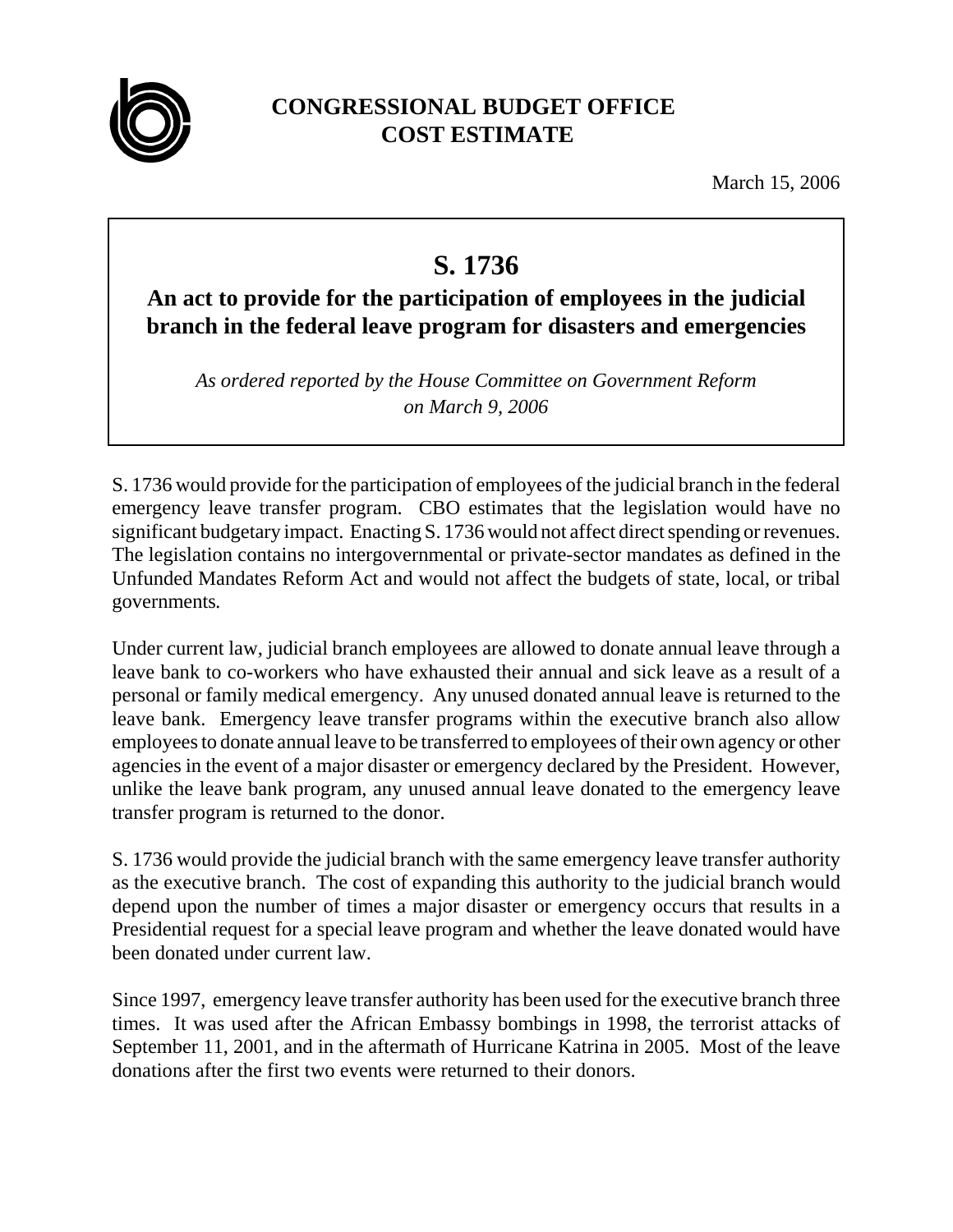

## **CONGRESSIONAL BUDGET OFFICE COST ESTIMATE**

March 15, 2006

## **S. 1736**

## **An act to provide for the participation of employees in the judicial branch in the federal leave program for disasters and emergencies**

*As ordered reported by the House Committee on Government Reform on March 9, 2006*

S. 1736 would provide for the participation of employees of the judicial branch in the federal emergency leave transfer program. CBO estimates that the legislation would have no significant budgetary impact. Enacting S. 1736 would not affect direct spending or revenues. The legislation contains no intergovernmental or private-sector mandates as defined in the Unfunded Mandates Reform Act and would not affect the budgets of state, local, or tribal governments*.* 

Under current law, judicial branch employees are allowed to donate annual leave through a leave bank to co-workers who have exhausted their annual and sick leave as a result of a personal or family medical emergency. Any unused donated annual leave is returned to the leave bank. Emergency leave transfer programs within the executive branch also allow employees to donate annual leave to be transferred to employees of their own agency or other agencies in the event of a major disaster or emergency declared by the President. However, unlike the leave bank program, any unused annual leave donated to the emergency leave transfer program is returned to the donor.

S. 1736 would provide the judicial branch with the same emergency leave transfer authority as the executive branch. The cost of expanding this authority to the judicial branch would depend upon the number of times a major disaster or emergency occurs that results in a Presidential request for a special leave program and whether the leave donated would have been donated under current law.

Since 1997, emergency leave transfer authority has been used for the executive branch three times. It was used after the African Embassy bombings in 1998, the terrorist attacks of September 11, 2001, and in the aftermath of Hurricane Katrina in 2005. Most of the leave donations after the first two events were returned to their donors.